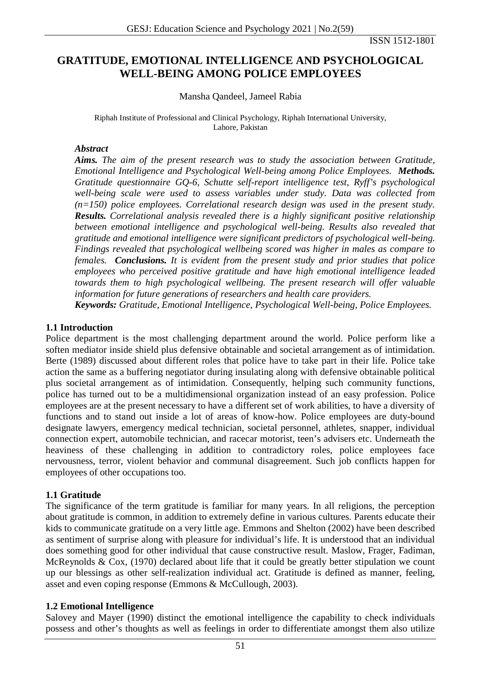# **GRATITUDE, EMOTIONAL INTELLIGENCE AND PSYCHOLOGICAL WELL-BEING AMONG POLICE EMPLOYEES**

#### Mansha Qandeel, Jameel Rabia

Riphah Institute of Professional and Clinical Psychology, Riphah International University, Lahore, Pakistan

#### *Abstract*

*Aims. The aim of the present research was to study the association between Gratitude, Emotional Intelligence and Psychological Well-being among Police Employees. Methods. Gratitude questionnaire GQ-6, Schutte self-report intelligence test, Ryff's psychological well-being scale were used to assess variables under study. Data was collected from (n=150) police employees. Correlational research design was used in the present study. Results. Correlational analysis revealed there is a highly significant positive relationship between emotional intelligence and psychological well-being. Results also revealed that gratitude and emotional intelligence were significant predictors of psychological well-being. Findings revealed that psychological wellbeing scored was higher in males as compare to females. Conclusions. It is evident from the present study and prior studies that police employees who perceived positive gratitude and have high emotional intelligence leaded towards them to high psychological wellbeing. The present research will offer valuable information for future generations of researchers and health care providers.*

*Keywords: Gratitude, Emotional Intelligence, Psychological Well-being, Police Employees.*

#### **1.1 Introduction**

Police department is the most challenging department around the world. Police perform like a soften mediator inside shield plus defensive obtainable and societal arrangement as of intimidation. Berte (1989) discussed about different roles that police have to take part in their life. Police take action the same as a buffering negotiator during insulating along with defensive obtainable political plus societal arrangement as of intimidation. Consequently, helping such community functions, police has turned out to be a multidimensional organization instead of an easy profession. Police employees are at the present necessary to have a different set of work abilities, to have a diversity of functions and to stand out inside a lot of areas of know-how. Police employees are duty-bound designate lawyers, emergency medical technician, societal personnel, athletes, snapper, individual connection expert, automobile technician, and racecar motorist, teen's advisers etc. Underneath the heaviness of these challenging in addition to contradictory roles, police employees face nervousness, terror, violent behavior and communal disagreement. Such job conflicts happen for employees of other occupations too.

## **1.1 Gratitude**

The significance of the term gratitude is familiar for many years. In all religions, the perception about gratitude is common, in addition to extremely define in various cultures. Parents educate their kids to communicate gratitude on a very little age. Emmons and Shelton (2002) have been described as sentiment of surprise along with pleasure for individual's life. It is understood that an individual does something good for other individual that cause constructive result. Maslow, Frager, Fadiman, McReynolds & Cox, (1970) declared about life that it could be greatly better stipulation we count up our blessings as other self-realization individual act. Gratitude is defined as manner, feeling, asset and even coping response (Emmons & McCullough, 2003).

## **1.2 Emotional Intelligence**

Salovey and Mayer (1990) distinct the emotional intelligence the capability to check individuals possess and other's thoughts as well as feelings in order to differentiate amongst them also utilize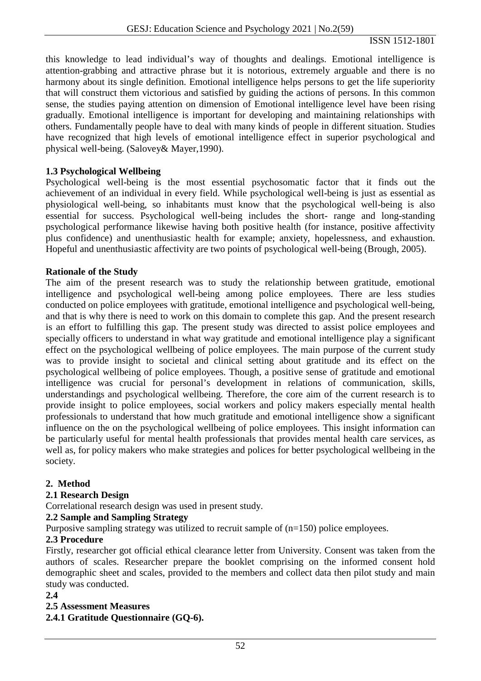this knowledge to lead individual's way of thoughts and dealings. Emotional intelligence is attention-grabbing and attractive phrase but it is notorious, extremely arguable and there is no harmony about its single definition. Emotional intelligence helps persons to get the life superiority that will construct them victorious and satisfied by guiding the actions of persons. In this common sense, the studies paying attention on dimension of Emotional intelligence level have been rising gradually. Emotional intelligence is important for developing and maintaining relationships with others. Fundamentally people have to deal with many kinds of people in different situation. Studies have recognized that high levels of emotional intelligence effect in superior psychological and physical well-being. (Salovey& Mayer,1990).

#### **1.3 Psychological Wellbeing**

Psychological well-being is the most essential psychosomatic factor that it finds out the achievement of an individual in every field. While psychological well-being is just as essential as physiological well-being, so inhabitants must know that the psychological well-being is also essential for success. Psychological well-being includes the short- range and long-standing psychological performance likewise having both positive health (for instance, positive affectivity plus confidence) and unenthusiastic health for example; anxiety, hopelessness, and exhaustion. Hopeful and unenthusiastic affectivity are two points of psychological well-being (Brough, 2005).

#### **Rationale of the Study**

The aim of the present research was to study the relationship between gratitude, emotional intelligence and psychological well-being among police employees. There are less studies conducted on police employees with gratitude, emotional intelligence and psychological well-being, and that is why there is need to work on this domain to complete this gap. And the present research is an effort to fulfilling this gap. The present study was directed to assist police employees and specially officers to understand in what way gratitude and emotional intelligence play a significant effect on the psychological wellbeing of police employees. The main purpose of the current study was to provide insight to societal and clinical setting about gratitude and its effect on the psychological wellbeing of police employees. Though, a positive sense of gratitude and emotional intelligence was crucial for personal's development in relations of communication, skills, understandings and psychological wellbeing. Therefore, the core aim of the current research is to provide insight to police employees, social workers and policy makers especially mental health professionals to understand that how much gratitude and emotional intelligence show a significant influence on the on the psychological wellbeing of police employees. This insight information can be particularly useful for mental health professionals that provides mental health care services, as well as, for policy makers who make strategies and polices for better psychological wellbeing in the society.

## **2. Method**

#### **2.1 Research Design**

Correlational research design was used in present study.

#### **2.2 Sample and Sampling Strategy**

Purposive sampling strategy was utilized to recruit sample of (n=150) police employees.

#### **2.3 Procedure**

Firstly, researcher got official ethical clearance letter from University. Consent was taken from the authors of scales. Researcher prepare the booklet comprising on the informed consent hold demographic sheet and scales, provided to the members and collect data then pilot study and main study was conducted.

#### **2.4**

## **2.5 Assessment Measures**

**2.4.1 Gratitude Questionnaire (GQ-6).**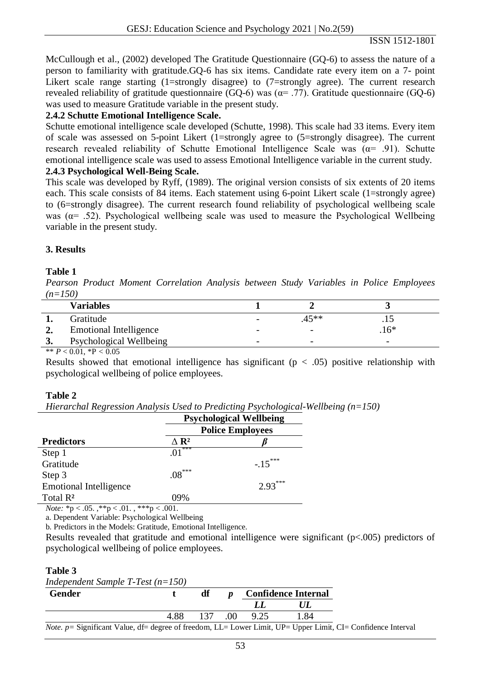McCullough et al., (2002) developed The Gratitude Questionnaire (GQ-6) to assess the nature of a person to familiarity with gratitude.GQ-6 has six items. Candidate rate every item on a 7- point Likert scale range starting (1=strongly disagree) to (7=strongly agree). The current research revealed reliability of gratitude questionnaire (GQ-6) was ( $\alpha$ = .77). Gratitude questionnaire (GQ-6) was used to measure Gratitude variable in the present study.

### **2.4.2 Schutte Emotional Intelligence Scale.**

Schutte emotional intelligence scale developed (Schutte, 1998). This scale had 33 items. Every item of scale was assessed on 5-point Likert (1=strongly agree to (5=strongly disagree). The current research revealed reliability of Schutte Emotional Intelligence Scale was  $(\alpha = .91)$ . Schutte emotional intelligence scale was used to assess Emotional Intelligence variable in the current study. **2.4.3 Psychological Well-Being Scale.** 

This scale was developed by Ryff, (1989). The original version consists of six extents of 20 items each. This scale consists of 84 items. Each statement using 6-point Likert scale (1=strongly agree) to (6=strongly disagree). The current research found reliability of psychological wellbeing scale was ( $\alpha$ = .52). Psychological wellbeing scale was used to measure the Psychological Wellbeing variable in the present study.

#### **3. Results**

#### **Table 1**

*Pearson Product Moment Correlation Analysis between Study Variables in Police Employees (n=150)*

|                | <b>Variables</b>                                                                                                                                                                                                                                                                                                                   |                          |                          |                          |  |
|----------------|------------------------------------------------------------------------------------------------------------------------------------------------------------------------------------------------------------------------------------------------------------------------------------------------------------------------------------|--------------------------|--------------------------|--------------------------|--|
|                | Gratitude                                                                                                                                                                                                                                                                                                                          | $\overline{\phantom{0}}$ | 45**                     |                          |  |
|                | <b>Emotional Intelligence</b>                                                                                                                                                                                                                                                                                                      | $\overline{\phantom{a}}$ | $\overline{\phantom{a}}$ | $.16*$                   |  |
| $\mathfrak{I}$ | Psychological Wellbeing                                                                                                                                                                                                                                                                                                            | $\overline{\phantom{0}}$ | $\overline{\phantom{0}}$ | $\overline{\phantom{0}}$ |  |
|                | $\mathbf{a}$ $\mathbf{b}$ $\mathbf{c}$ $\mathbf{c}$ $\mathbf{c}$ $\mathbf{d}$ $\mathbf{c}$ $\mathbf{c}$ $\mathbf{c}$ $\mathbf{c}$ $\mathbf{c}$ $\mathbf{c}$ $\mathbf{c}$ $\mathbf{c}$ $\mathbf{c}$ $\mathbf{c}$ $\mathbf{c}$ $\mathbf{c}$ $\mathbf{c}$ $\mathbf{c}$ $\mathbf{c}$ $\mathbf{c}$ $\mathbf{c}$ $\mathbf{c}$ $\mathbf{$ |                          |                          |                          |  |

 $** \overline{P} < 0.01, *P < 0.05$ 

Results showed that emotional intelligence has significant ( $p < .05$ ) positive relationship with psychological wellbeing of police employees.

#### **Table 2**

*Hierarchal Regression Analysis Used to Predicting Psychological-Wellbeing (n=150)*

|                                                    | <b>Psychological Wellbeing</b> |           |  |  |
|----------------------------------------------------|--------------------------------|-----------|--|--|
|                                                    | <b>Police Employees</b>        |           |  |  |
| <b>Predictors</b>                                  | $\Delta$ R <sup>2</sup>        |           |  |  |
| Step 1                                             | ***<br>.01                     |           |  |  |
| Gratitude                                          |                                | $-.15***$ |  |  |
| Step 3                                             | $.08\dots$                     |           |  |  |
| <b>Emotional Intelligence</b>                      |                                | $2.93***$ |  |  |
| Total R <sup>2</sup>                               | 09%                            |           |  |  |
| $N_{\alpha\beta\alpha}$ *n $\geq$ 05 **n $\geq$ 01 | ***n $\geq$ 001                |           |  |  |

*Note:* \*p < .05. ,\*\*p < .01. , \*\*\*p < .001.

a. Dependent Variable: Psychological Wellbeing

b. Predictors in the Models: Gratitude, Emotional Intelligence.

Results revealed that gratitude and emotional intelligence were significant (p<.005) predictors of psychological wellbeing of police employees.

#### **Table 3**

*Independent Sample T-Test (n=150)*

| <b>Gender</b>                                                                                                            |      | df | $\boldsymbol{p}$ | <b>Confidence Internal</b> |      |  |
|--------------------------------------------------------------------------------------------------------------------------|------|----|------------------|----------------------------|------|--|
|                                                                                                                          |      |    |                  |                            |      |  |
|                                                                                                                          | 4.88 |    |                  | 137 .00 9.25               | 1.84 |  |
| <i>Note.</i> p = Significant Value, df = degree of freedom, LL = Lower Limit, UP = Upper Limit, CI = Confidence Interval |      |    |                  |                            |      |  |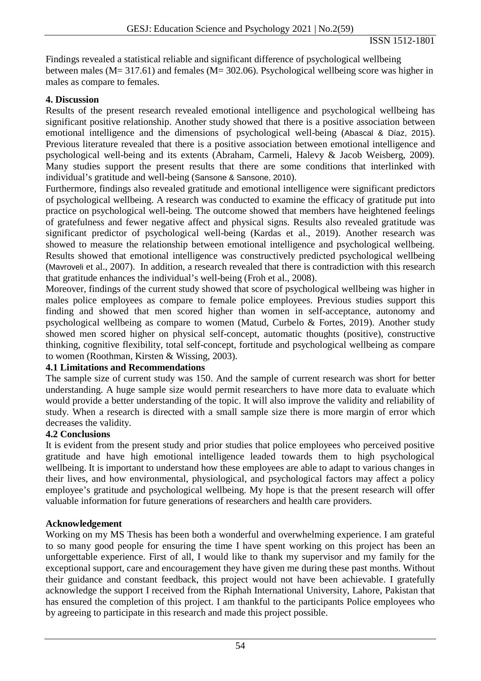Findings revealed a statistical reliable and significant difference of psychological wellbeing between males (M= 317.61) and females (M= 302.06). Psychological wellbeing score was higher in males as compare to females.

## **4. Discussion**

Results of the present research revealed emotional intelligence and psychological wellbeing has significant positive relationship. Another study showed that there is a positive association between emotional intelligence and the dimensions of psychological well-being (Abascal & Díaz, 2015). Previous literature revealed that there is a positive association between emotional intelligence and psychological well-being and its extents (Abraham, Carmeli, Halevy & Jacob Weisberg, 2009). Many studies support the present results that there are some conditions that interlinked with individual's gratitude and well-being (Sansone & Sansone, 2010).

Furthermore, findings also revealed gratitude and emotional intelligence were significant predictors of psychological wellbeing. A research was conducted to examine the efficacy of gratitude put into practice on psychological well-being. The outcome showed that members have heightened feelings of gratefulness and fewer negative affect and physical signs. Results also revealed gratitude was significant predictor of psychological well-being (Kardas et al., 2019). Another research was showed to measure the relationship between emotional intelligence and psychological wellbeing. Results showed that emotional intelligence was constructively predicted psychological wellbeing (Mavroveli et al., 2007). In addition, a research revealed that there is contradiction with this research that gratitude enhances the individual's well-being (Froh et al., 2008).

Moreover, findings of the current study showed that score of psychological wellbeing was higher in males police employees as compare to female police employees. Previous studies support this finding and showed that men scored higher than women in self-acceptance, autonomy and psychological wellbeing as compare to women (Matud, Curbelo & Fortes, 2019). Another study showed men scored higher on physical self-concept, automatic thoughts (positive), constructive thinking, cognitive flexibility, total self-concept, fortitude and psychological wellbeing as compare to women (Roothman, Kirsten & Wissing, 2003).

## **4.1 Limitations and Recommendations**

The sample size of current study was 150. And the sample of current research was short for better understanding. A huge sample size would permit researchers to have more data to evaluate which would provide a better understanding of the topic. It will also improve the validity and reliability of study. When a research is directed with a small sample size there is more margin of error which decreases the validity.

## **4.2 Conclusions**

It is evident from the present study and prior studies that police employees who perceived positive gratitude and have high emotional intelligence leaded towards them to high psychological wellbeing. It is important to understand how these employees are able to adapt to various changes in their lives, and how environmental, physiological, and psychological factors may affect a policy employee's gratitude and psychological wellbeing. My hope is that the present research will offer valuable information for future generations of researchers and health care providers.

## **Acknowledgement**

Working on my MS Thesis has been both a wonderful and overwhelming experience. I am grateful to so many good people for ensuring the time I have spent working on this project has been an unforgettable experience. First of all, I would like to thank my supervisor and my family for the exceptional support, care and encouragement they have given me during these past months. Without their guidance and constant feedback, this project would not have been achievable. I gratefully acknowledge the support I received from the Riphah International University, Lahore, Pakistan that has ensured the completion of this project. I am thankful to the participants Police employees who by agreeing to participate in this research and made this project possible.